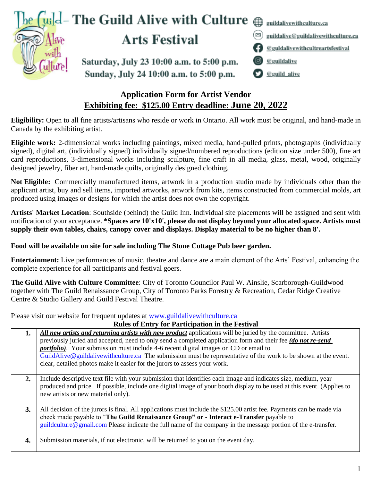|                      | The $\int$ uild – The Guild Alive with Culture $\bigoplus$ guildalivewithculture.ca  |    |                                                                                |
|----------------------|--------------------------------------------------------------------------------------|----|--------------------------------------------------------------------------------|
| $\sqrt{w}$           | <b>Arts Festival</b>                                                                 | ⊠) | guildalive@guildalivewithculture.ca<br><b>eguidalivewithcultreartsfestival</b> |
| We Alive<br>Gulture! | Saturday, July 23 10:00 a.m. to 5:00 p.m.<br>Sunday, July 24 10:00 a.m. to 5:00 p.m. |    | <b>6</b> <u>@guildalive</u><br>@guild_alive                                    |

# **Application Form for Artist Vendor Exhibiting fee: \$125.00 Entry deadline: June 20, 2022**

**Eligibility:** Open to all fine artists/artisans who reside or work in Ontario. All work must be original, and hand-made in Canada by the exhibiting artist.

**Eligible work:** 2-dimensional works including paintings, mixed media, hand-pulled prints, photographs (individually signed), digital art, (individually signed) individually signed/numbered reproductions (edition size under 500), fine art card reproductions, 3-dimensional works including sculpture, fine craft in all media, glass, metal, wood, originally designed jewelry, fiber art, hand-made quilts, originally designed clothing.

**Not Eligible:** Commercially manufactured items, artwork in a production studio made by individuals other than the applicant artist, buy and sell items, imported artworks, artwork from kits, items constructed from commercial molds, art produced using images or designs for which the artist does not own the copyright.

**Artists' Market Location**: Southside (behind) the Guild Inn. Individual site placements will be assigned and sent with notification of your acceptance. **\*Spaces are 10'x10', please do not display beyond your allocated space. Artists must supply their own tables, chairs, canopy cover and displays. Display material to be no higher than 8'.**

### **Food will be available on site for sale including The Stone Cottage Pub beer garden.**

**Entertainment:** Live performances of music, theatre and dance are a main element of the Arts' Festival, enhancing the complete experience for all participants and festival goers.

**The Guild Alive with Culture Committee**: City of Toronto Councilor Paul W. Ainslie, Scarborough-Guildwood together with The Guild Renaissance Group, City of Toronto Parks Forestry & Recreation, Cedar Ridge Creative Centre & Studio Gallery and Guild Festival Theatre.

Please visit our website for frequent updates at [www.guildalivewithculture.ca](http://www.guildalivewithculture.ca/)

| 1. | All new artists and returning artists with new product applications will be juried by the committee. Artists                                                                                                                                                                                                                     |  |  |  |
|----|----------------------------------------------------------------------------------------------------------------------------------------------------------------------------------------------------------------------------------------------------------------------------------------------------------------------------------|--|--|--|
|    | previously juried and accepted, need to only send a completed application form and their fee (do not re-send                                                                                                                                                                                                                     |  |  |  |
|    | <i>portfolio</i> ). Your submission must include 4-6 recent digital images on CD or email to                                                                                                                                                                                                                                     |  |  |  |
|    | GuildAlive@guildalivewithculture.ca The submission must be representative of the work to be shown at the event.                                                                                                                                                                                                                  |  |  |  |
|    | clear, detailed photos make it easier for the jurors to assess your work.                                                                                                                                                                                                                                                        |  |  |  |
|    |                                                                                                                                                                                                                                                                                                                                  |  |  |  |
| 2. | Include descriptive text file with your submission that identifies each image and indicates size, medium, year<br>produced and price. If possible, include one digital image of your booth display to be used at this event. (Applies to<br>new artists or new material only).                                                   |  |  |  |
| 3. | All decision of the jurors is final. All applications must include the \$125.00 artist fee. Payments can be made via<br>check made payable to "The Guild Renaissance Group" or - Interact e-Transfer payable to<br>guildculture@gmail.com Please indicate the full name of the company in the message portion of the e-transfer. |  |  |  |
| 4. | Submission materials, if not electronic, will be returned to you on the event day.                                                                                                                                                                                                                                               |  |  |  |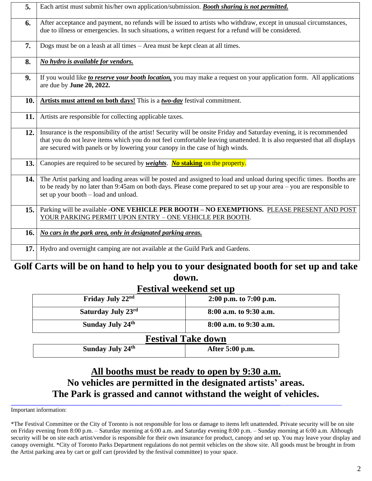| 5.   | Each artist must submit his/her own application/submission. Booth sharing is not permitted.                                                                                                                                                                                                                                        |  |
|------|------------------------------------------------------------------------------------------------------------------------------------------------------------------------------------------------------------------------------------------------------------------------------------------------------------------------------------|--|
| 6.   | After acceptance and payment, no refunds will be issued to artists who withdraw, except in unusual circumstances,<br>due to illness or emergencies. In such situations, a written request for a refund will be considered.                                                                                                         |  |
| 7.   | Dogs must be on a leash at all times - Area must be kept clean at all times.                                                                                                                                                                                                                                                       |  |
| 8.   | No hydro is available for vendors.                                                                                                                                                                                                                                                                                                 |  |
| 9.   | If you would like to reserve your booth location, you may make a request on your application form. All applications<br>are due by June 20, 2022.                                                                                                                                                                                   |  |
| 10.  | Artists must attend on both days! This is a two-day festival commitment.                                                                                                                                                                                                                                                           |  |
| 11.  | Artists are responsible for collecting applicable taxes.                                                                                                                                                                                                                                                                           |  |
| 12.  | Insurance is the responsibility of the artist! Security will be onsite Friday and Saturday evening, it is recommended<br>that you do not leave items which you do not feel comfortable leaving unattended. It is also requested that all displays<br>are secured with panels or by lowering your canopy in the case of high winds. |  |
| 13.  | Canopies are required to be secured by <i>weights</i> . No staking on the property.                                                                                                                                                                                                                                                |  |
| 14.  | The Artist parking and loading areas will be posted and assigned to load and unload during specific times. Booths are<br>to be ready by no later than 9:45am on both days. Please come prepared to set up your area – you are responsible to<br>set up your booth – load and unload.                                               |  |
| 15.1 | Parking will be available -ONE VEHICLE PER BOOTH - NO EXEMPTIONS. PLEASE PRESENT AND POST<br>YOUR PARKING PERMIT UPON ENTRY - ONE VEHICLE PER BOOTH.                                                                                                                                                                               |  |
| 16.  | No cars in the park area, only in designated parking areas.                                                                                                                                                                                                                                                                        |  |
| 17.  | Hydro and overnight camping are not available at the Guild Park and Gardens.                                                                                                                                                                                                                                                       |  |

## **Golf Carts will be on hand to help you to your designated booth for set up and take down.**

| <b>Festival weekend set up</b> |                           |  |  |  |
|--------------------------------|---------------------------|--|--|--|
| Friday July 22nd               | $2:00$ p.m. to 7:00 p.m.  |  |  |  |
| Saturday July 23rd             | 8:00 a.m. to 9:30 a.m.    |  |  |  |
| Sunday July 24th               | 8:00 a.m. to 9:30 a.m.    |  |  |  |
|                                | <b>Festival Take down</b> |  |  |  |
| Sunday July 24th               | After 5:00 p.m.           |  |  |  |

# **All booths must be ready to open by 9:30 a.m. No vehicles are permitted in the designated artists' areas. The Park is grassed and cannot withstand the weight of vehicles.**

**\_\_\_\_\_\_\_\_\_\_\_\_\_\_\_\_\_\_\_\_\_\_\_\_\_\_\_\_\_\_\_\_\_\_\_\_\_\_\_\_\_\_\_\_\_\_\_\_\_\_\_\_\_\_\_\_\_\_\_\_\_\_\_\_\_\_\_\_\_\_\_\_\_\_\_\_\_\_\_\_\_\_\_\_\_\_\_\_\_**\_\_\_\_\_\_\_\_\_\_\_\_\_\_\_\_\_\_\_\_ Important information:

<sup>\*</sup>The Festival Committee or the City of Toronto is not responsible for loss or damage to items left unattended. Private security will be on site on Friday evening from 8:00 p.m. – Saturday morning at 6:00 a.m. and Saturday evening 8:00 p.m. – Sunday morning at 6:00 a.m. Although security will be on site each artist/vendor is responsible for their own insurance for product, canopy and set up. You may leave your display and canopy overnight. \*City of Toronto Parks Department regulations do not permit vehicles on the show site. All goods must be brought in from the Artist parking area by cart or golf cart (provided by the festival committee) to your space.